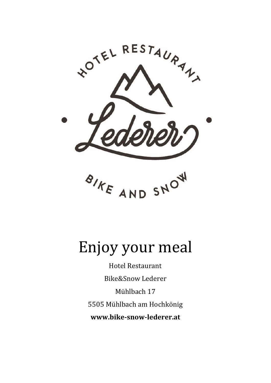

# Enjoy your meal

Hotel Restaurant Bike&Snow Lederer Mühlbach 17 5505 Mühlbach am Hochkönig **www.bike-snow-lederer.at**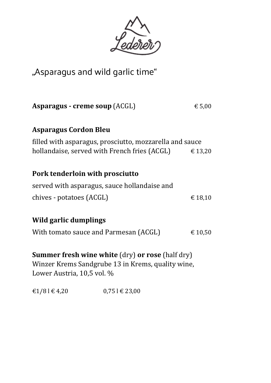

# "Asparagus and wild garlic time"

| <b>Asparagus - creme soup (ACGL)</b>                                                                                                       | € 5,00  |
|--------------------------------------------------------------------------------------------------------------------------------------------|---------|
| <b>Asparagus Cordon Bleu</b>                                                                                                               |         |
| filled with asparagus, prosciutto, mozzarella and sauce                                                                                    |         |
| hollandaise, served with French fries (ACGL)                                                                                               | € 13,20 |
|                                                                                                                                            |         |
| Pork tenderloin with prosciutto                                                                                                            |         |
| served with asparagus, sauce hollandaise and                                                                                               |         |
| chives - potatoes (ACGL)                                                                                                                   | € 18,10 |
|                                                                                                                                            |         |
| Wild garlic dumplings                                                                                                                      |         |
| With tomato sauce and Parmesan (ACGL)                                                                                                      | € 10,50 |
|                                                                                                                                            |         |
| <b>Summer fresh wine white (dry) or rose (half dry)</b><br>Winzer Krems Sandgrube 13 in Krems, quality wine,<br>Lower Austria, 10,5 vol. % |         |

 $\text{\textsterling}1/8 \, \text{\textsf{I}} \in 4,20$  0,75 l  $\text{\textsf{I}} \in 23,00$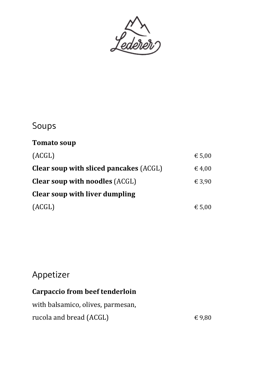

# Soups

#### **Tomato soup**

| (ACGL)                                        | € 5,00          |
|-----------------------------------------------|-----------------|
| <b>Clear soup with sliced pancakes (ACGL)</b> | $\epsilon$ 4,00 |
| <b>Clear soup with noodles (ACGL)</b>         | € 3,90          |
| Clear soup with liver dumpling                |                 |
| (ACGL)                                        | $\epsilon$ 5,00 |

# Appetizer

#### **Carpaccio from beef tenderloin**

| with balsamico, olives, parmesan, |        |
|-----------------------------------|--------|
| rucola and bread (ACGL)           | € 9.80 |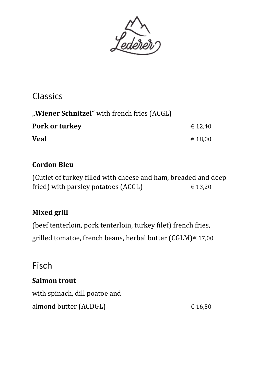

### Classics

| "Wiener Schnitzel" with french fries (ACGL) |         |
|---------------------------------------------|---------|
| Pork or turkey                              | € 12.40 |
| <b>Veal</b>                                 | € 18.00 |

#### **Cordon Bleu**

(Cutlet of turkey filled with cheese and ham, breaded and deep fried) with parsley potatoes (ACGL)  $\epsilon$  13,20

#### **Mixed grill**

(beef tenterloin, pork tenterloin, turkey filet) french fries, grilled tomatoe, french beans, herbal butter (CGLM)€ 17,00

### Fisch

#### **Salmon trout**

with spinach, dill poatoe and almond butter (ACDGL)  $\epsilon$  16,50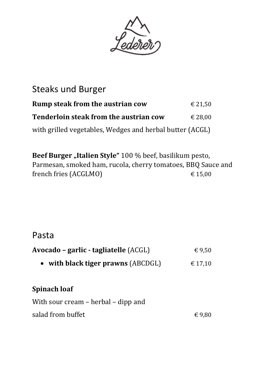

### Steaks und Burger

| Rump steak from the austrian cow                         | € 21.50 |
|----------------------------------------------------------|---------|
| <b>Tenderloin steak from the austrian cow</b>            | € 28.00 |
| with grilled vegetables, Wedges and herbal butter (ACGL) |         |

**Beef Burger** "Italien Style" 100 % beef, basilikum pesto, Parmesan, smoked ham, rucola, cherry tomatoes, BBQ Sauce and french fries (ACGLMO)  $\epsilon$  15,00

### Pasta

| Avocado – garlic - tagliatelle (ACGL) | $\epsilon$ 9,50 |
|---------------------------------------|-----------------|
| • with black tiger prawns $(ABCDGL)$  | € 17,10         |
| <b>Spinach loaf</b>                   |                 |
| With sour cream – herbal – dipp and   |                 |
| salad from buffet                     | € 9,80          |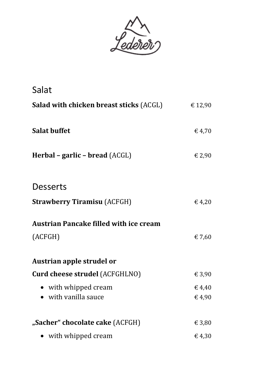

| Salat                                          |         |
|------------------------------------------------|---------|
| <b>Salad with chicken breast sticks (ACGL)</b> | € 12,90 |
| <b>Salat buffet</b>                            | € 4,70  |
| Herbal – garlic – bread (ACGL)                 | € 2,90  |
| <b>Desserts</b>                                |         |
| <b>Strawberry Tiramisu (ACFGH)</b>             | € 4,20  |
| <b>Austrian Pancake filled with ice cream</b>  |         |
| (ACFGH)                                        | € 7,60  |
| Austrian apple strudel or                      |         |
| <b>Curd cheese strudel (ACFGHLNO)</b>          | € 3,90  |
| • with whipped cream                           | € 4,40  |
| with vanilla sauce                             | €4,90   |
| "Sacher" chocolate cake (ACFGH)                | € 3,80  |
| with whipped cream                             | €4,30   |